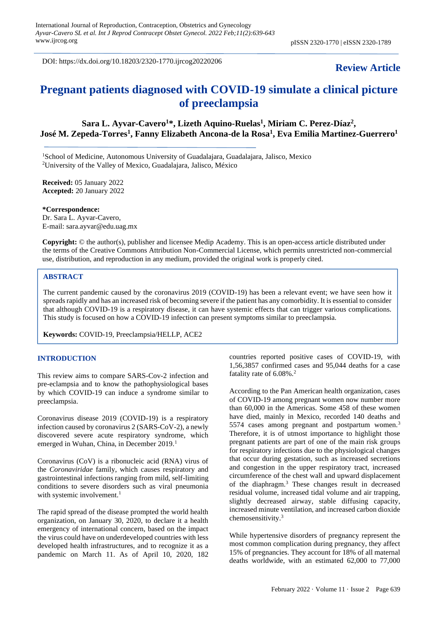DOI: https://dx.doi.org/10.18203/2320-1770.ijrcog20220206

# **Review Article**

# **Pregnant patients diagnosed with COVID-19 simulate a clinical picture of preeclampsia**

**Sara L. Ayvar-Cavero<sup>1</sup>\*, Lizeth Aquino-Ruelas<sup>1</sup> , Miriam C. Perez-Díaz<sup>2</sup> , José M. Zepeda-Torres<sup>1</sup> , Fanny Elizabeth Ancona-de la Rosa<sup>1</sup> , Eva Emilia Martinez-Guerrero<sup>1</sup>**

<sup>1</sup>School of Medicine, Autonomous University of Guadalajara, Guadalajara, Jalisco, Mexico <sup>2</sup>University of the Valley of Mexico, Guadalajara, Jalisco, México

**Received:** 05 January 2022 **Accepted:** 20 January 2022

**\*Correspondence:** Dr. Sara L. Ayvar-Cavero, E-mail: sara.ayvar@edu.uag.mx

**Copyright:** © the author(s), publisher and licensee Medip Academy. This is an open-access article distributed under the terms of the Creative Commons Attribution Non-Commercial License, which permits unrestricted non-commercial use, distribution, and reproduction in any medium, provided the original work is properly cited.

## **ABSTRACT**

The current pandemic caused by the coronavirus 2019 (COVID-19) has been a relevant event; we have seen how it spreads rapidly and has an increased risk of becoming severe if the patient has any comorbidity. It is essential to consider that although COVID-19 is a respiratory disease, it can have systemic effects that can trigger various complications. This study is focused on how a COVID-19 infection can present symptoms similar to preeclampsia.

**Keywords:** COVID-19, Preeclampsia/HELLP, ACE2

#### **INTRODUCTION**

This review aims to compare SARS-Cov-2 infection and pre-eclampsia and to know the pathophysiological bases by which COVID-19 can induce a syndrome similar to preeclampsia.

Coronavirus disease 2019 (COVID-19) is a respiratory infection caused by coronavirus 2 (SARS-CoV-2), a newly discovered severe acute respiratory syndrome, which emerged in Wuhan, China, in December 2019.<sup>1</sup>

Coronavirus (CoV) is a ribonucleic acid (RNA) virus of the *Coronaviridae* family, which causes respiratory and gastrointestinal infections ranging from mild, self-limiting conditions to severe disorders such as viral pneumonia with systemic involvement.<sup>1</sup>

The rapid spread of the disease prompted the world health organization, on January 30, 2020, to declare it a health emergency of international concern, based on the impact the virus could have on underdeveloped countries with less developed health infrastructures, and to recognize it as a pandemic on March 11. As of April 10, 2020, 182 countries reported positive cases of COVID-19, with 1,56,3857 confirmed cases and 95,044 deaths for a case fatality rate of 6.08%.<sup>2</sup>

According to the Pan American health organization, cases of COVID-19 among pregnant women now number more than 60,000 in the Americas. Some 458 of these women have died, mainly in Mexico, recorded 140 deaths and 5574 cases among pregnant and postpartum women.<sup>3</sup> Therefore, it is of utmost importance to highlight those pregnant patients are part of one of the main risk groups for respiratory infections due to the physiological changes that occur during gestation, such as increased secretions and congestion in the upper respiratory tract, increased circumference of the chest wall and upward displacement of the diaphragm.<sup>3</sup> These changes result in decreased residual volume, increased tidal volume and air trapping, slightly decreased airway, stable diffusing capacity, increased minute ventilation, and increased carbon dioxide chemosensitivity.<sup>3</sup>

While hypertensive disorders of pregnancy represent the most common complication during pregnancy, they affect 15% of pregnancies. They account for 18% of all maternal deaths worldwide, with an estimated 62,000 to 77,000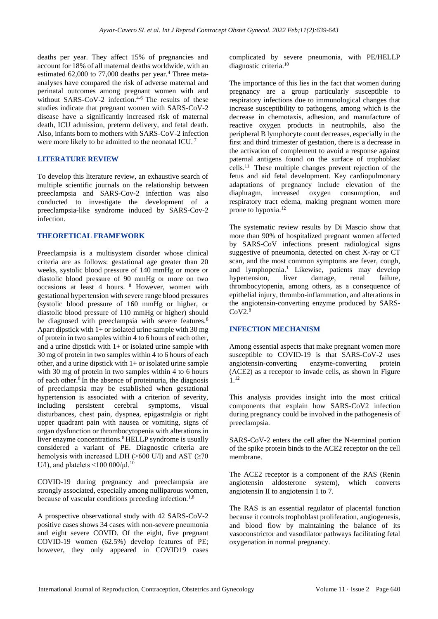deaths per year. They affect 15% of pregnancies and account for 18% of all maternal deaths worldwide, with an estimated 62,000 to 77,000 deaths per year.<sup>4</sup> Three metaanalyses have compared the risk of adverse maternal and perinatal outcomes among pregnant women with and without SARS-CoV-2 infection.<sup>4-6</sup> The results of these studies indicate that pregnant women with SARS-CoV-2 disease have a significantly increased risk of maternal death, ICU admission, preterm delivery, and fetal death. Also, infants born to mothers with SARS-CoV-2 infection were more likely to be admitted to the neonatal ICU.<sup>7</sup>

### **LITERATURE REVIEW**

To develop this literature review, an exhaustive search of multiple scientific journals on the relationship between preeclampsia and SARS-Cov-2 infection was also conducted to investigate the development of a preeclampsia-like syndrome induced by SARS-Cov-2 infection.

#### **THEORETICAL FRAMEWORK**

Preeclampsia is a multisystem disorder whose clinical criteria are as follows: gestational age greater than 20 weeks, systolic blood pressure of 140 mmHg or more or diastolic blood pressure of 90 mmHg or more on two occasions at least 4 hours. <sup>8</sup> However, women with gestational hypertension with severe range blood pressures (systolic blood pressure of 160 mmHg or higher, or diastolic blood pressure of 110 mmHg or higher) should be diagnosed with preeclampsia with severe features.<sup>8</sup> Apart dipstick with  $1+$  or isolated urine sample with 30 mg of protein in two samples within 4 to 6 hours of each other, and a urine dipstick with  $1+$  or isolated urine sample with 30 mg of protein in two samples within 4 to 6 hours of each other, and a urine dipstick with 1+ or isolated urine sample with 30 mg of protein in two samples within 4 to 6 hours of each other.<sup>8</sup>In the absence of proteinuria, the diagnosis of preeclampsia may be established when gestational hypertension is associated with a criterion of severity, including persistent cerebral symptoms, visual disturbances, chest pain, dyspnea, epigastralgia or right upper quadrant pain with nausea or vomiting, signs of organ dysfunction or thrombocytopenia with alterations in liver enzyme concentrations.<sup>8</sup> HELLP syndrome is usually considered a variant of PE. Diagnostic criteria are hemolysis with increased LDH ( $>600$  U/l) and AST ( $\geq 70$ U/l), and platelets  $\leq$ 100 000/ $\mu$ l.<sup>10</sup>

COVID-19 during pregnancy and preeclampsia are strongly associated, especially among nulliparous women, because of vascular conditions preceding infection.<sup>1,8</sup>

A prospective observational study with 42 SARS-CoV-2 positive cases shows 34 cases with non-severe pneumonia and eight severe COVID. Of the eight, five pregnant COVID-19 women (62.5%) develop features of PE; however, they only appeared in COVID19 cases complicated by severe pneumonia, with PE/HELLP diagnostic criteria.<sup>10</sup>

The importance of this lies in the fact that women during pregnancy are a group particularly susceptible to respiratory infections due to immunological changes that increase susceptibility to pathogens, among which is the decrease in chemotaxis, adhesion, and manufacture of reactive oxygen products in neutrophils, also the peripheral B lymphocyte count decreases, especially in the first and third trimester of gestation, there is a decrease in the activation of complement to avoid a response against paternal antigens found on the surface of trophoblast  $\text{cells.}^{11}$  These multiple changes prevent rejection of the fetus and aid fetal development. Key cardiopulmonary adaptations of pregnancy include elevation of the diaphragm, increased oxygen consumption, and respiratory tract edema, making pregnant women more prone to hypoxia.<sup>12</sup>

The systematic review results by Di Mascio show that more than 90% of hospitalized pregnant women affected by SARS-CoV infections present radiological signs suggestive of pneumonia, detected on chest X-ray or CT scan, and the most common symptoms are fever, cough, and lymphopenia.<sup>1</sup> Likewise, patients may develop hypertension, liver damage, renal failure, thrombocytopenia, among others, as a consequence of epithelial injury, thrombo-inflammation, and alterations in the angiotensin-converting enzyme produced by SARS- $CoV2.8$ 

### **INFECTION MECHANISM**

Among essential aspects that make pregnant women more susceptible to COVID-19 is that SARS-CoV-2 uses angiotensin-converting enzyme-converting protein (ACE2) as a receptor to invade cells, as shown in Figure 1.<sup>12</sup>

This analysis provides insight into the most critical components that explain how SARS-CoV2 infection during pregnancy could be involved in the pathogenesis of preeclampsia.

SARS-CoV-2 enters the cell after the N-terminal portion of the spike protein binds to the ACE2 receptor on the cell membrane.

The ACE2 receptor is a component of the RAS (Renin angiotensin aldosterone system), which converts angiotensin II to angiotensin 1 to 7.

The RAS is an essential regulator of placental function because it controls trophoblast proliferation, angiogenesis, and blood flow by maintaining the balance of its vasoconstrictor and vasodilator pathways facilitating fetal oxygenation in normal pregnancy.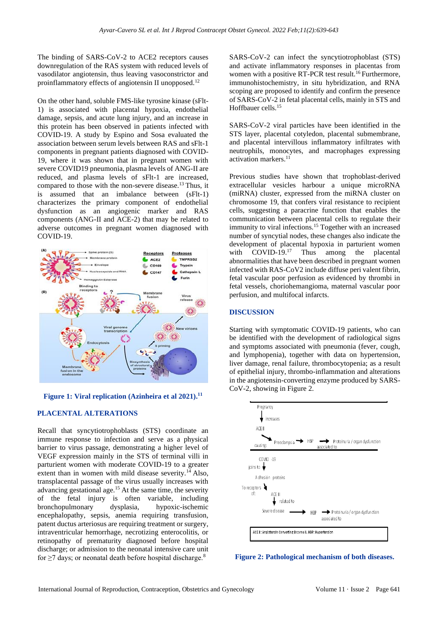The binding of SARS-CoV-2 to ACE2 receptors causes downregulation of the RAS system with reduced levels of vasodilator angiotensin, thus leaving vasoconstrictor and proinflammatory effects of angiotensin II unopposed.<sup>12</sup>

On the other hand, soluble FMS-like tyrosine kinase (sFlt-1) is associated with placental hypoxia, endothelial damage, sepsis, and acute lung injury, and an increase in this protein has been observed in patients infected with COVID-19. A study by Espino and Sosa evaluated the association between serum levels between RAS and sFlt-1 components in pregnant patients diagnosed with COVID-19, where it was shown that in pregnant women with severe COVID19 pneumonia, plasma levels of ANG-II are reduced, and plasma levels of sFlt-1 are increased, compared to those with the non-severe disease.<sup>13</sup> Thus, it is assumed that an imbalance between (sFlt-1) characterizes the primary component of endothelial dysfunction as an angiogenic marker and RAS components (ANG-II and ACE-2) that may be related to adverse outcomes in pregnant women diagnosed with COVID-19.



**Figure 1: Viral replication (Azinheira et al 2021). 11**

### **PLACENTAL ALTERATIONS**

Recall that syncytiotrophoblasts (STS) coordinate an immune response to infection and serve as a physical barrier to virus passage, demonstrating a higher level of VEGF expression mainly in the STS of terminal villi in parturient women with moderate COVID-19 to a greater extent than in women with mild disease severity.<sup>14</sup> Also, transplacental passage of the virus usually increases with advancing gestational age.<sup>15</sup> At the same time, the severity of the fetal injury is often variable, including bronchopulmonary dysplasia, hypoxic-ischemic encephalopathy, sepsis, anemia requiring transfusion, patent ductus arteriosus are requiring treatment or surgery, intraventricular hemorrhage, necrotizing enterocolitis, or retinopathy of prematurity diagnosed before hospital discharge; or admission to the neonatal intensive care unit for  $\geq$ 7 days; or neonatal death before hospital discharge.<sup>8</sup>

SARS-CoV-2 can infect the syncytiotrophoblast (STS) and activate inflammatory responses in placentas from women with a positive RT-PCR test result.<sup>16</sup> Furthermore, immunohistochemistry, in situ hybridization, and RNA scoping are proposed to identify and confirm the presence of SARS-CoV-2 in fetal placental cells, mainly in STS and Hoffbauer cells.<sup>15</sup>

SARS-CoV-2 viral particles have been identified in the STS layer, placental cotyledon, placental submembrane, and placental intervillous inflammatory infiltrates with neutrophils, monocytes, and macrophages expressing activation markers.<sup>11</sup>

Previous studies have shown that trophoblast-derived extracellular vesicles harbour a unique microRNA (miRNA) cluster, expressed from the miRNA cluster on chromosome 19, that confers viral resistance to recipient cells, suggesting a paracrine function that enables the communication between placental cells to regulate their immunity to viral infections.<sup>15</sup> Together with an increased number of syncytial nodes, these changes also indicate the development of placental hypoxia in parturient women with COVID-19.<sup>17</sup> Thus among the placental abnormalities that have been described in pregnant women infected with RAS-CoV2 include diffuse peri valent fibrin, fetal vascular poor perfusion as evidenced by thrombi in fetal vessels, choriohemangioma, maternal vascular poor perfusion, and multifocal infarcts.

#### **DISCUSSION**

Starting with symptomatic COVID-19 patients, who can be identified with the development of radiological signs and symptoms associated with pneumonia (fever, cough, and lymphopenia), together with data on hypertension, liver damage, renal failure, thrombocytopenia; as a result of epithelial injury, thrombo-inflammation and alterations in the angiotensin-converting enzyme produced by SARS-CoV-2, showing in Figure 2.



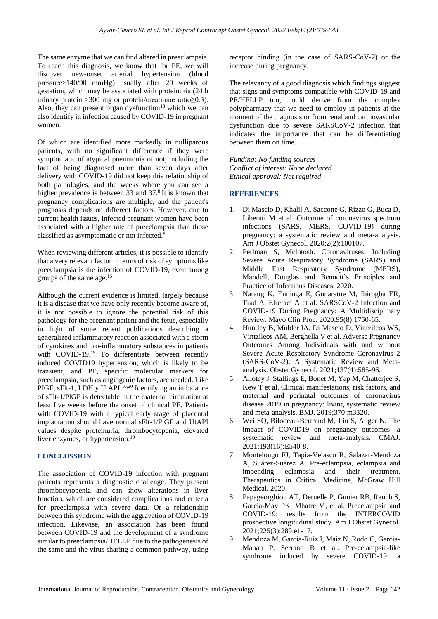The same enzyme that we can find altered in preeclampsia. To reach this diagnosis, we know that for PE, we will discover new-onset arterial hypertension (blood pressure>140/90 mmHg) usually after 20 weeks of gestation, which may be associated with proteinuria (24 h urinary protein >300 mg or protein/creatinine ratio≥0.3). Also, they can present organ dysfunction<sup>18</sup> which we can also identify in infection caused by COVID-19 in pregnant women.

Of which are identified more markedly in nulliparous patients, with no significant difference if they were symptomatic of atypical pneumonia or not, including the fact of being diagnosed more than seven days after delivery with COVID-19 did not keep this relationship of both pathologies, and the weeks where you can see a higher prevalence is between 33 and 37.<sup>8</sup> It is known that pregnancy complications are multiple, and the patient's prognosis depends on different factors. However, due to current health issues, infected pregnant women have been associated with a higher rate of preeclampsia than those classified as asymptomatic or not infected.<sup>8</sup>

When reviewing different articles, it is possible to identify that a very relevant factor in terms of risk of symptoms like preeclampsia is the infection of COVID-19, even among groups of the same age.<sup>16</sup>

Although the current evidence is limited, largely because it is a disease that we have only recently become aware of, it is not possible to ignore the potential risk of this pathology for the pregnant patient and the fetus, especially in light of some recent publications describing a generalized inflammatory reaction associated with a storm of cytokines and pro-inflammatory substances in patients with COVID-19.<sup>19</sup> To differentiate between recently induced COVID19 hypertension, which is likely to be transient, and PE, specific molecular markers for preeclampsia, such as angiogenic factors, are needed. Like PIGF, sFlt-1, LDH y UtAPI.<sup>10,20</sup> Identifying an imbalance of sFlt-1/PlGF is detectable in the maternal circulation at least five weeks before the onset of clinical PE. Patients with COVID-19 with a typical early stage of placental implantation should have normal sFlt-1/PlGF and UtAPI values despite proteinuria, thrombocytopenia, elevated liver enzymes, or hypertension.<sup>10</sup>

#### **CONCLUSSION**

The association of COVID-19 infection with pregnant patients represents a diagnostic challenge. They present thrombocytopenia and can show alterations in liver function, which are considered complications and criteria for preeclampsia with severe data. Or a relationship between this syndrome with the aggravation of COVID-19 infection. Likewise, an association has been found between COVID-19 and the development of a syndrome similar to preeclampsia/HELLP due to the pathogenesis of the same and the virus sharing a common pathway, using receptor binding (in the case of SARS-CoV-2) or the increase during pregnancy.

The relevancy of a good diagnosis which findings suggest that signs and symptoms compatible with COVID-19 and PE/HELLP too, could derive from the complex polypharmacy that we need to employ in patients at the moment of the diagnosis or from renal and cardiovascular dysfunction due to severe SARSCoV-2 infection that indicates the importance that can be differentiating between them on time.

*Funding: No funding sources Conflict of interest: None declared Ethical approval: Not required*

# **REFERENCES**

- 1. Di Mascio D, Khalil A, Saccone G, Rizzo G, Buca D, Liberati M et al. Outcome of coronavirus spectrum infections (SARS, MERS, COVID-19) during pregnancy: a systematic review and meta-analysis. Am J Obstet Gynecol. 2020;2(2):100107.
- 2. Perlman S, Mclntosh. Coronaviruses, Including Severe Acute Respiratory Syndrome (SARS) and Middle East Respiratory Syndrome (MERS), Mandell, Douglas and Bennett's Principles and Practice of Infectious Diseases. 2020.
- 3. Narang K, Enninga E, Gunaratne M, Ibirogba ER, Trad A, Elrefaei A et al. SARSCoV-2 Infection and COVID-19 During Pregnancy: A Multidisciplinary Review. Mayo Clin Proc. 2020;95(8):1750-65.
- 4. Huntley B, Mulder IA, Di Mascio D, Vintzileos WS, Vintzileos AM, Berghella V et al. Adverse Pregnancy Outcomes Among Individuals with and without Severe Acute Respiratory Syndrome Coronavirus 2 (SARS-CoV-2): A Systematic Review and Metaanalysis. Obstet Gynecol, 2021;137(4):585-96.
- 5. Allotey J, Stallings E, Bonet M, Yap M, Chatterjee S, Kew T et al. Clinical manifestations, risk factors, and maternal and perinatal outcomes of coronavirus disease 2019 in pregnancy: living systematic review and meta-analysis. BMJ. 2019;370:m3320.
- 6. Wei SQ, Bilodeau-Bertrand M, Liu S, Auger N. The impact of COVID19 on pregnancy outcomes: a systematic review and meta-analysis. CMAJ. 2021;193(16):E540-8.
- 7. Montelongo FJ, Tapia-Velasco R, Salazar-Mendoza A, Suárez-Suárez A. Pre-eclampsia, eclampsia and impending eclampsia and their treatment. Therapeutics in Critical Medicine, McGraw Hill Medical. 2020.
- 8. Papageorghiou AT, Deruelle P, Gunier RB, Rauch S, García-May PK, Mhatre M, et al. Preeclampsia and COVID-19: results from the INTERCOVID prospective longitudinal study. Am J Obstet Gynecol. 2021;225(3):289.e1-17.
- 9. Mendoza M, Garcia-Ruiz I, Maiz N, Rodo C, Garcia-Manau P, Serrano B et al. Pre-eclampsia-like syndrome induced by severe COVID-19: a